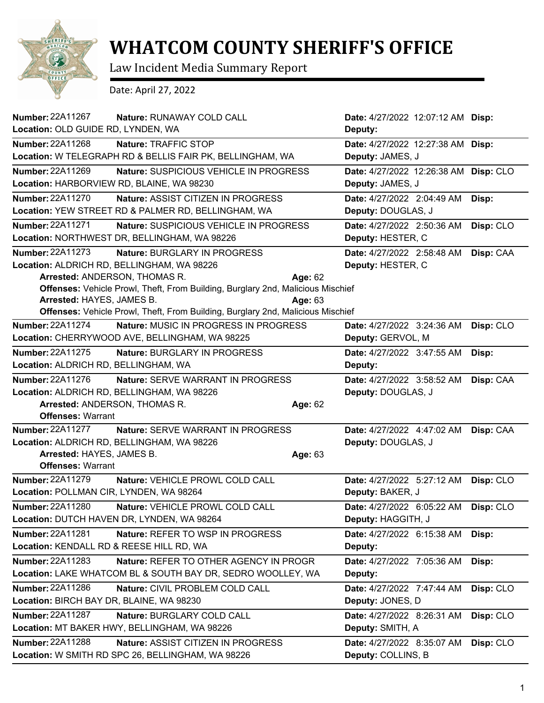

## **WHATCOM COUNTY SHERIFF'S OFFICE**

Law Incident Media Summary Report

Date: April 27, 2022

| <b>Number: 22A11267</b><br>Nature: RUNAWAY COLD CALL                            | Date: 4/27/2022 12:07:12 AM Disp:       |
|---------------------------------------------------------------------------------|-----------------------------------------|
| Location: OLD GUIDE RD, LYNDEN, WA                                              | Deputy:                                 |
| Number: 22A11268<br>Nature: TRAFFIC STOP                                        | Date: 4/27/2022 12:27:38 AM Disp:       |
| Location: W TELEGRAPH RD & BELLIS FAIR PK, BELLINGHAM, WA                       | Deputy: JAMES, J                        |
| Number: 22A11269<br>Nature: SUSPICIOUS VEHICLE IN PROGRESS                      | Date: 4/27/2022 12:26:38 AM Disp: CLO   |
| Location: HARBORVIEW RD, BLAINE, WA 98230                                       | Deputy: JAMES, J                        |
| <b>Number: 22A11270</b><br>Nature: ASSIST CITIZEN IN PROGRESS                   | Date: 4/27/2022 2:04:49 AM<br>Disp:     |
| Location: YEW STREET RD & PALMER RD, BELLINGHAM, WA                             | Deputy: DOUGLAS, J                      |
| Number: 22A11271<br>Nature: SUSPICIOUS VEHICLE IN PROGRESS                      | Date: 4/27/2022 2:50:36 AM<br>Disp: CLO |
| Location: NORTHWEST DR, BELLINGHAM, WA 98226                                    | Deputy: HESTER, C                       |
| Number: 22A11273<br>Nature: BURGLARY IN PROGRESS                                | Date: 4/27/2022 2:58:48 AM<br>Disp: CAA |
| Location: ALDRICH RD, BELLINGHAM, WA 98226                                      | Deputy: HESTER, C                       |
| Arrested: ANDERSON, THOMAS R.<br>Age: 62                                        |                                         |
| Offenses: Vehicle Prowl, Theft, From Building, Burglary 2nd, Malicious Mischief |                                         |
| Arrested: HAYES, JAMES B.<br>Age: 63                                            |                                         |
| Offenses: Vehicle Prowl, Theft, From Building, Burglary 2nd, Malicious Mischief |                                         |
| <b>Number: 22A11274</b><br>Nature: MUSIC IN PROGRESS IN PROGRESS                | Disp: CLO<br>Date: 4/27/2022 3:24:36 AM |
| Location: CHERRYWOOD AVE, BELLINGHAM, WA 98225                                  | Deputy: GERVOL, M                       |
| Number: 22A11275<br>Nature: BURGLARY IN PROGRESS                                | Date: 4/27/2022 3:47:55 AM<br>Disp:     |
| Location: ALDRICH RD, BELLINGHAM, WA                                            | Deputy:                                 |
| Number: 22A11276<br>Nature: SERVE WARRANT IN PROGRESS                           | Date: 4/27/2022 3:58:52 AM<br>Disp: CAA |
| Location: ALDRICH RD, BELLINGHAM, WA 98226                                      | Deputy: DOUGLAS, J                      |
| Arrested: ANDERSON, THOMAS R.<br>Age: 62                                        |                                         |
| <b>Offenses: Warrant</b>                                                        |                                         |
| <b>Number: 22A11277</b><br><b>Nature: SERVE WARRANT IN PROGRESS</b>             | Date: 4/27/2022 4:47:02 AM<br>Disp: CAA |
| Location: ALDRICH RD, BELLINGHAM, WA 98226                                      | Deputy: DOUGLAS, J                      |
| Arrested: HAYES, JAMES B.<br>Age: 63                                            |                                         |
| <b>Offenses: Warrant</b>                                                        |                                         |
| <b>Number: 22A11279</b><br>Nature: VEHICLE PROWL COLD CALL                      | Date: 4/27/2022 5:27:12 AM<br>Disp: CLO |
| Location: POLLMAN CIR, LYNDEN, WA 98264                                         | Deputy: BAKER, J                        |
| <b>Number: 22A11280</b><br>Nature: VEHICLE PROWL COLD CALL                      | Date: 4/27/2022 6:05:22 AM Disp: CLO    |
| Location: DUTCH HAVEN DR, LYNDEN, WA 98264                                      | Deputy: HAGGITH, J                      |
| Number: 22A11281<br>Nature: REFER TO WSP IN PROGRESS                            | Date: 4/27/2022 6:15:38 AM<br>Disp:     |
| Location: KENDALL RD & REESE HILL RD, WA                                        | Deputy:                                 |
| Number: 22A11283<br>Nature: REFER TO OTHER AGENCY IN PROGR                      | Date: 4/27/2022 7:05:36 AM<br>Disp:     |
| Location: LAKE WHATCOM BL & SOUTH BAY DR, SEDRO WOOLLEY, WA                     | Deputy:                                 |
| Number: 22A11286<br>Nature: CIVIL PROBLEM COLD CALL                             | Disp: CLO<br>Date: 4/27/2022 7:47:44 AM |
| Location: BIRCH BAY DR, BLAINE, WA 98230                                        | Deputy: JONES, D                        |
| <b>Number: 22A11287</b><br>Nature: BURGLARY COLD CALL                           | Date: 4/27/2022 8:26:31 AM<br>Disp: CLO |
| Location: MT BAKER HWY, BELLINGHAM, WA 98226                                    | Deputy: SMITH, A                        |
| Number: 22A11288<br>Nature: ASSIST CITIZEN IN PROGRESS                          | Disp: CLO<br>Date: 4/27/2022 8:35:07 AM |
| Location: W SMITH RD SPC 26, BELLINGHAM, WA 98226                               | Deputy: COLLINS, B                      |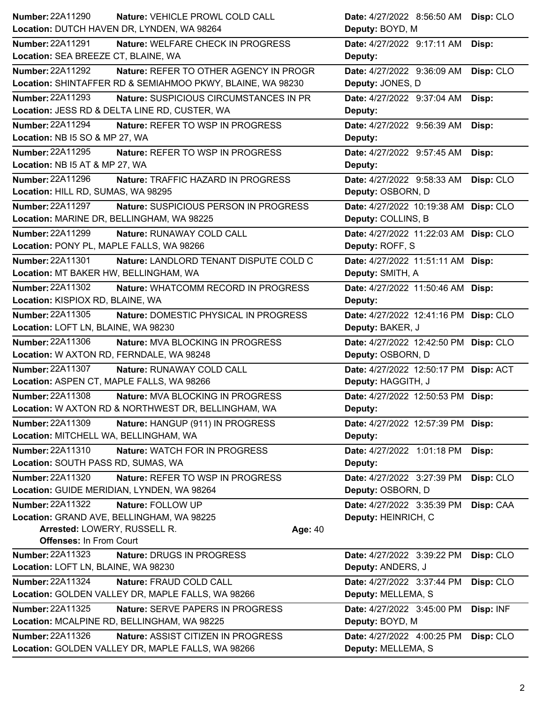| Number: 22A11290<br>Nature: VEHICLE PROWL COLD CALL                                                         | Date: 4/27/2022 8:56:50 AM Disp: CLO                          |
|-------------------------------------------------------------------------------------------------------------|---------------------------------------------------------------|
| Location: DUTCH HAVEN DR, LYNDEN, WA 98264                                                                  | Deputy: BOYD, M                                               |
| <b>Number: 22A11291</b><br>Nature: WELFARE CHECK IN PROGRESS                                                | Date: 4/27/2022 9:17:11 AM<br>Disp:                           |
| Location: SEA BREEZE CT, BLAINE, WA                                                                         | Deputy:                                                       |
| <b>Number: 22A11292</b><br>Nature: REFER TO OTHER AGENCY IN PROGR                                           | Date: 4/27/2022 9:36:09 AM<br>Disp: CLO                       |
| Location: SHINTAFFER RD & SEMIAHMOO PKWY, BLAINE, WA 98230                                                  | Deputy: JONES, D                                              |
| <b>Number: 22A11293</b><br>Nature: SUSPICIOUS CIRCUMSTANCES IN PR                                           | Date: 4/27/2022 9:37:04 AM<br>Disp:                           |
| Location: JESS RD & DELTA LINE RD, CUSTER, WA                                                               | Deputy:                                                       |
| Number: 22A11294<br>Nature: REFER TO WSP IN PROGRESS                                                        | Date: 4/27/2022 9:56:39 AM<br>Disp:                           |
| Location: NB I5 SO & MP 27, WA                                                                              | Deputy:                                                       |
| Number: 22A11295<br>Nature: REFER TO WSP IN PROGRESS                                                        | Date: 4/27/2022 9:57:45 AM<br>Disp:                           |
| Location: NB I5 AT & MP 27, WA                                                                              | Deputy:                                                       |
| Number: 22A11296<br>Nature: TRAFFIC HAZARD IN PROGRESS                                                      | Date: 4/27/2022 9:58:33 AM Disp: CLO                          |
| Location: HILL RD, SUMAS, WA 98295                                                                          | Deputy: OSBORN, D                                             |
| <b>Number: 22A11297</b><br>Nature: SUSPICIOUS PERSON IN PROGRESS                                            | Date: 4/27/2022 10:19:38 AM Disp: CLO                         |
| Location: MARINE DR, BELLINGHAM, WA 98225                                                                   | Deputy: COLLINS, B                                            |
| <b>Number: 22A11299</b><br>Nature: RUNAWAY COLD CALL                                                        | Date: 4/27/2022 11:22:03 AM Disp: CLO                         |
| Location: PONY PL, MAPLE FALLS, WA 98266                                                                    | Deputy: ROFF, S                                               |
| Number: 22A11301<br>Nature: LANDLORD TENANT DISPUTE COLD C                                                  | Date: 4/27/2022 11:51:11 AM Disp:                             |
| Location: MT BAKER HW, BELLINGHAM, WA                                                                       | Deputy: SMITH, A                                              |
| <b>Number: 22A11302</b><br>Nature: WHATCOMM RECORD IN PROGRESS                                              | Date: 4/27/2022 11:50:46 AM Disp:                             |
| Location: KISPIOX RD, BLAINE, WA                                                                            | Deputy:                                                       |
| Number: 22A11305<br>Nature: DOMESTIC PHYSICAL IN PROGRESS                                                   | Date: 4/27/2022 12:41:16 PM Disp: CLO                         |
| Location: LOFT LN, BLAINE, WA 98230                                                                         | Deputy: BAKER, J                                              |
| <b>Number: 22A11306</b><br>Nature: MVA BLOCKING IN PROGRESS                                                 | Date: 4/27/2022 12:42:50 PM Disp: CLO                         |
| Location: W AXTON RD, FERNDALE, WA 98248                                                                    | Deputy: OSBORN, D                                             |
| <b>Number: 22A11307</b><br>Nature: RUNAWAY COLD CALL                                                        | Date: 4/27/2022 12:50:17 PM Disp: ACT                         |
| Location: ASPEN CT, MAPLE FALLS, WA 98266                                                                   | Deputy: HAGGITH, J                                            |
| <b>Number: 22A11308</b><br>Nature: MVA BLOCKING IN PROGRESS                                                 | Date: 4/27/2022 12:50:53 PM Disp:                             |
| Location: W AXTON RD & NORTHWEST DR, BELLINGHAM, WA                                                         | <b>Deputy:</b>                                                |
| Number: 22A11309<br>Nature: HANGUP (911) IN PROGRESS                                                        | Date: 4/27/2022 12:57:39 PM Disp:                             |
| Location: MITCHELL WA, BELLINGHAM, WA                                                                       | Deputy:                                                       |
| Number: 22A11310<br><b>Nature: WATCH FOR IN PROGRESS</b>                                                    | Date: 4/27/2022 1:01:18 PM<br>Disp:                           |
| Location: SOUTH PASS RD, SUMAS, WA                                                                          | Deputy:                                                       |
| <b>Number: 22A11320</b><br>Nature: REFER TO WSP IN PROGRESS                                                 | Date: 4/27/2022 3:27:39 PM<br>Disp: CLO                       |
| Location: GUIDE MERIDIAN, LYNDEN, WA 98264                                                                  | Deputy: OSBORN, D                                             |
| Number: 22A11322<br>Nature: FOLLOW UP                                                                       | Date: 4/27/2022 3:35:39 PM<br>Disp: CAA                       |
| Location: GRAND AVE, BELLINGHAM, WA 98225                                                                   | Deputy: HEINRICH, C                                           |
| Arrested: LOWERY, RUSSELL R.<br>Age: 40                                                                     |                                                               |
| <b>Offenses: In From Court</b>                                                                              |                                                               |
| <b>Number: 22A11323</b><br>Nature: DRUGS IN PROGRESS                                                        | Disp: CLO<br>Date: 4/27/2022 3:39:22 PM                       |
| Location: LOFT LN, BLAINE, WA 98230                                                                         | Deputy: ANDERS, J                                             |
| Number: 22A11324<br>Nature: FRAUD COLD CALL                                                                 | Date: 4/27/2022 3:37:44 PM<br>Disp: CLO                       |
| Location: GOLDEN VALLEY DR, MAPLE FALLS, WA 98266                                                           | Deputy: MELLEMA, S                                            |
| Number: 22A11325<br>Nature: SERVE PAPERS IN PROGRESS                                                        | Date: 4/27/2022 3:45:00 PM<br>Disp: INF                       |
| Location: MCALPINE RD, BELLINGHAM, WA 98225                                                                 | Deputy: BOYD, M                                               |
|                                                                                                             |                                                               |
| Number: 22A11326<br>Nature: ASSIST CITIZEN IN PROGRESS<br>Location: GOLDEN VALLEY DR, MAPLE FALLS, WA 98266 | Date: 4/27/2022 4:00:25 PM<br>Disp: CLO<br>Deputy: MELLEMA, S |